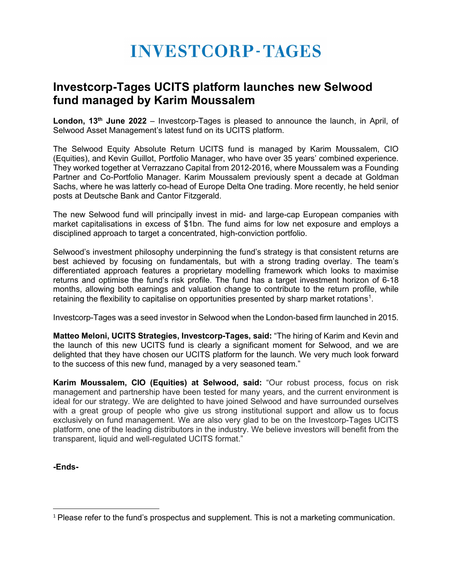# **INVESTCORP-TAGES**

## **Investcorp-Tages UCITS platform launches new Selwood fund managed by Karim Moussalem**

London, 13<sup>th</sup> June 2022 – Investcorp-Tages is pleased to announce the launch, in April, of Selwood Asset Management's latest fund on its UCITS platform.

The Selwood Equity Absolute Return UCITS fund is managed by Karim Moussalem, CIO (Equities), and Kevin Guillot, Portfolio Manager, who have over 35 years' combined experience. They worked together at Verrazzano Capital from 2012-2016, where Moussalem was a Founding Partner and Co-Portfolio Manager. Karim Moussalem previously spent a decade at Goldman Sachs, where he was latterly co-head of Europe Delta One trading. More recently, he held senior posts at Deutsche Bank and Cantor Fitzgerald.

The new Selwood fund will principally invest in mid- and large-cap European companies with market capitalisations in excess of \$1bn. The fund aims for low net exposure and employs a disciplined approach to target a concentrated, high-conviction portfolio.

Selwood's investment philosophy underpinning the fund's strategy is that consistent returns are best achieved by focusing on fundamentals, but with a strong trading overlay. The team's differentiated approach features a proprietary modelling framework which looks to maximise returns and optimise the fund's risk profile. The fund has a target investment horizon of 6-18 months, allowing both earnings and valuation change to contribute to the return profile, while retaining the flexibility to capitalise on opportunities presented by sharp market rotations $^{\text{\tiny{1}}}$  $^{\text{\tiny{1}}}$  $^{\text{\tiny{1}}}$ .

Investcorp-Tages was a seed investor in Selwood when the London-based firm launched in 2015.

**Matteo Meloni, UCITS Strategies, Investcorp-Tages, said:** "The hiring of Karim and Kevin and the launch of this new UCITS fund is clearly a significant moment for Selwood, and we are delighted that they have chosen our UCITS platform for the launch. We very much look forward to the success of this new fund, managed by a very seasoned team."

**Karim Moussalem, CIO (Equities) at Selwood, said:** "Our robust process, focus on risk management and partnership have been tested for many years, and the current environment is ideal for our strategy. We are delighted to have joined Selwood and have surrounded ourselves with a great group of people who give us strong institutional support and allow us to focus exclusively on fund management. We are also very glad to be on the Investcorp-Tages UCITS platform, one of the leading distributors in the industry. We believe investors will benefit from the transparent, liquid and well-regulated UCITS format."

**-Ends-**

<span id="page-0-0"></span><sup>&</sup>lt;sup>1</sup> Please refer to the fund's prospectus and supplement. This is not a marketing communication.